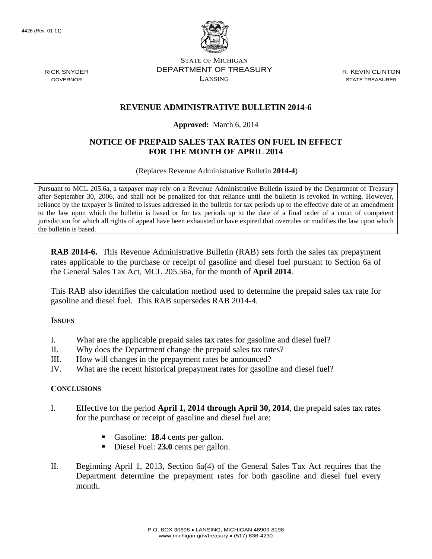4426 (Rev. 01-11)



STATE OF MICHIGAN DEPARTMENT OF TREASURY LANSING

R. KEVIN CLINTON STATE TREASURER

## **REVENUE ADMINISTRATIVE BULLETIN 2014-6**

#### **Approved:** March 6, 2014

### **NOTICE OF PREPAID SALES TAX RATES ON FUEL IN EFFECT FOR THE MONTH OF APRIL 2014**

(Replaces Revenue Administrative Bulletin **2014-4**)

Pursuant to MCL 205.6a, a taxpayer may rely on a Revenue Administrative Bulletin issued by the Department of Treasury after September 30, 2006, and shall not be penalized for that reliance until the bulletin is revoked in writing. However, reliance by the taxpayer is limited to issues addressed in the bulletin for tax periods up to the effective date of an amendment to the law upon which the bulletin is based or for tax periods up to the date of a final order of a court of competent jurisdiction for which all rights of appeal have been exhausted or have expired that overrules or modifies the law upon which the bulletin is based.

**RAB 2014-6.** This Revenue Administrative Bulletin (RAB) sets forth the sales tax prepayment rates applicable to the purchase or receipt of gasoline and diesel fuel pursuant to Section 6a of the General Sales Tax Act, MCL 205.56a, for the month of **April 2014**.

This RAB also identifies the calculation method used to determine the prepaid sales tax rate for gasoline and diesel fuel. This RAB supersedes RAB 2014-4.

#### **ISSUES**

- I. What are the applicable prepaid sales tax rates for gasoline and diesel fuel?
- II. Why does the Department change the prepaid sales tax rates?
- III. How will changes in the prepayment rates be announced?
- IV. What are the recent historical prepayment rates for gasoline and diesel fuel?

#### **CONCLUSIONS**

- I. Effective for the period **April 1, 2014 through April 30, 2014**, the prepaid sales tax rates for the purchase or receipt of gasoline and diesel fuel are:
	- Gasoline: **18.4** cents per gallon.
	- Diesel Fuel: **23.0** cents per gallon.
- II. Beginning April 1, 2013, Section 6a(4) of the General Sales Tax Act requires that the Department determine the prepayment rates for both gasoline and diesel fuel every month.

RICK SNYDER GOVERNOR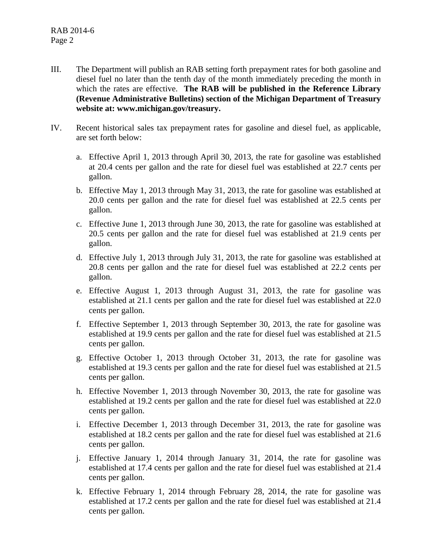- III. The Department will publish an RAB setting forth prepayment rates for both gasoline and diesel fuel no later than the tenth day of the month immediately preceding the month in which the rates are effective. **The RAB will be published in the Reference Library (Revenue Administrative Bulletins) section of the Michigan Department of Treasury website at: www.michigan.gov/treasury.**
- IV. Recent historical sales tax prepayment rates for gasoline and diesel fuel, as applicable, are set forth below:
	- a. Effective April 1, 2013 through April 30, 2013, the rate for gasoline was established at 20.4 cents per gallon and the rate for diesel fuel was established at 22.7 cents per gallon.
	- b. Effective May 1, 2013 through May 31, 2013, the rate for gasoline was established at 20.0 cents per gallon and the rate for diesel fuel was established at 22.5 cents per gallon.
	- c. Effective June 1, 2013 through June 30, 2013, the rate for gasoline was established at 20.5 cents per gallon and the rate for diesel fuel was established at 21.9 cents per gallon.
	- d. Effective July 1, 2013 through July 31, 2013, the rate for gasoline was established at 20.8 cents per gallon and the rate for diesel fuel was established at 22.2 cents per gallon.
	- e. Effective August 1, 2013 through August 31, 2013, the rate for gasoline was established at 21.1 cents per gallon and the rate for diesel fuel was established at 22.0 cents per gallon.
	- f. Effective September 1, 2013 through September 30, 2013, the rate for gasoline was established at 19.9 cents per gallon and the rate for diesel fuel was established at 21.5 cents per gallon.
	- g. Effective October 1, 2013 through October 31, 2013, the rate for gasoline was established at 19.3 cents per gallon and the rate for diesel fuel was established at 21.5 cents per gallon.
	- h. Effective November 1, 2013 through November 30, 2013, the rate for gasoline was established at 19.2 cents per gallon and the rate for diesel fuel was established at 22.0 cents per gallon.
	- i. Effective December 1, 2013 through December 31, 2013, the rate for gasoline was established at 18.2 cents per gallon and the rate for diesel fuel was established at 21.6 cents per gallon.
	- j. Effective January 1, 2014 through January 31, 2014, the rate for gasoline was established at 17.4 cents per gallon and the rate for diesel fuel was established at 21.4 cents per gallon.
	- k. Effective February 1, 2014 through February 28, 2014, the rate for gasoline was established at 17.2 cents per gallon and the rate for diesel fuel was established at 21.4 cents per gallon.